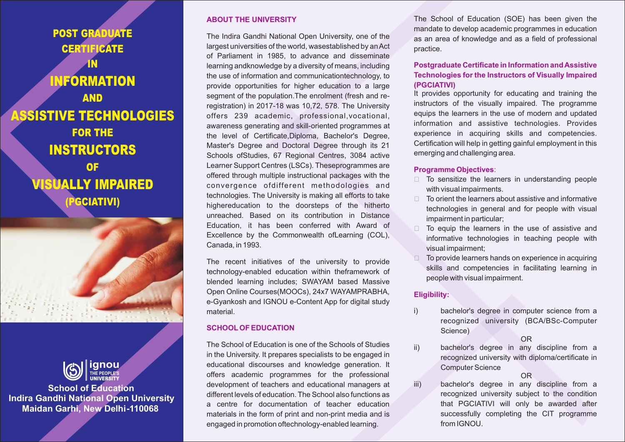POST GRADUATE **CERTIFICATE** IN INFORMATION AND ASSISTIVE TECHNOLOGIES FOR THE INSTRUCTORS OF ISUALLY IMPAIRED (PGCIATIVI)



**School of Education Indira Gandhi National Open University Maidan Garhi, New Delhi-110068**

## **ABOUT THE UNIVERSITY**

The Indira Gandhi National Open University, one of the largest universities of the world, wasestablished by an Act of Parliament in 1985, to advance and disseminate learning andknowledge by a diversity of means, including the use of information and communicationtechnology, to provide opportunities for higher education to a large segment of the population.The enrolment (fresh and reregistration) in 2017-18 was 10,72, 578. The University offers 239 academic, professional,vocational, awareness generating and skill-oriented programmes at the level of Certificate,Diploma, Bachelor's Degree, Master's Degree and Doctoral Degree through its 21 Schools ofStudies, 67 Regional Centres, 3084 active Learner Support Centres (LSCs). Theseprogrammes are offered through multiple instructional packages with the convergence ofdifferent methodologies and technologies. The University is making all efforts to take highereducation to the doorsteps of the hitherto unreached. Based on its contribution in Distance Education, it has been conferred with Award of Excellence by the Commonwealth ofLearning (COL), Canada, in 1993.

The recent initiatives of the university to provide technology-enabled education within theframework of blended learning includes; SWAYAM based Massive Open Online Courses(MOOCs), 24x7 WAYAMPRABHA, e-Gyankosh and IGNOU e-Content App for digital study material.

### **SCHOOLOF EDUCATION**

The School of Education is one of the Schools of Studies in the University. It prepares specialists to be engaged in educational discourses and knowledge generation. It offers academic programmes for the professional development of teachers and educational managers at different levels of education. The School also functions as a centre for documentation of teacher education materials in the form of print and non-print media and is engaged in promotion oftechnology-enabled learning.

The School of Education (SOE) has been given the mandate to develop academic programmes in education as an area of knowledge and as a field of professional practice.

# **Postgraduate Certificate in Information and Assistive Technologies for the Instructors of Visually Impaired (PGCIATIVI)**

It provides opportunity for educating and training the instructors of the visually impaired. The programme equips the learners in the use of modern and updated information and assistive technologies. Provides experience in acquiring skills and competencies. Certification will help in getting gainful employment in this emerging and challenging area.

### **Programme Objectives**:

- $\Box$  To sensitize the learners in understanding people with visual impairments.
- $\Box$  To orient the learners about assistive and informative technologies in general and for people with visual impairment in particular;
- $\Box$  To equip the learners in the use of assistive and informative technologies in teaching people with visual impairment;
- ? To provide learners hands on experience in acquiring skills and competencies in facilitating learning in people with visual impairment.

## **Eligibility:**

i) bachelor's degree in computer science from a recognized university (BCA/BSc-Computer Science)

OR

ii) bachelor's degree in any discipline from a recognized university with diploma/certificate in Computer Science

OR

iii) bachelor's degree in any discipline from a recognized university subject to the condition that PGCIATIVI will only be awarded after successfully completing the CIT programme from IGNOU.